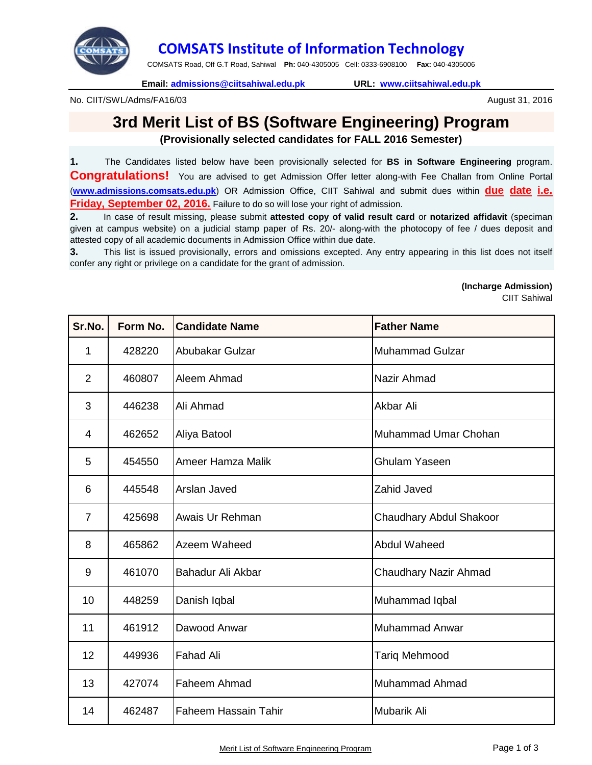

## **COMSATS Institute of Information Technology**

COMSATS Road, Off G.T Road, Sahiwal **Ph:** 040-4305005 Cell: 0333-6908100 **Fax:** 040-4305006

**Email: admissions@ciitsahiwal.edu.pk URL: www.ciitsahiwal.edu.pk**

No. CIIT/SWL/Adms/FA16/03

## **3rd Merit List of BS (Software Engineering) Program**

**(Provisionally selected candidates for FALL 2016 Semester)**

**1.** The Candidates listed below have been provisionally selected for **BS in Software Engineering** program. **Congratulations!** You are advised to get Admission Offer letter along-with Fee Challan from Online Portal (**www.admissions.comsats.edu.pk**) OR Admission Office, CIIT Sahiwal and submit dues within **due date i.e. Friday, September 02, 2016.** Failure to do so will lose your right of admission.

**2.** In case of result missing, please submit **attested copy of valid result card** or **notarized affidavit** (speciman given at campus website) on a judicial stamp paper of Rs. 20/- along-with the photocopy of fee / dues deposit and attested copy of all academic documents in Admission Office within due date.

**3.** This list is issued provisionally, errors and omissions excepted. Any entry appearing in this list does not itself confer any right or privilege on a candidate for the grant of admission.

**(Incharge Admission)**

CIIT Sahiwal

August 31, 2016

| Sr.No.         | Form No. | <b>Candidate Name</b>       | <b>Father Name</b>      |
|----------------|----------|-----------------------------|-------------------------|
| 1              | 428220   | Abubakar Gulzar             | <b>Muhammad Gulzar</b>  |
| $\overline{2}$ | 460807   | Aleem Ahmad                 | Nazir Ahmad             |
| 3              | 446238   | Ali Ahmad                   | Akbar Ali               |
| $\overline{4}$ | 462652   | Aliya Batool                | Muhammad Umar Chohan    |
| 5              | 454550   | Ameer Hamza Malik           | <b>Ghulam Yaseen</b>    |
| 6              | 445548   | Arslan Javed                | <b>Zahid Javed</b>      |
| $\overline{7}$ | 425698   | Awais Ur Rehman             | Chaudhary Abdul Shakoor |
| 8              | 465862   | Azeem Waheed                | Abdul Waheed            |
| 9              | 461070   | Bahadur Ali Akbar           | Chaudhary Nazir Ahmad   |
| 10             | 448259   | Danish Iqbal                | Muhammad Iqbal          |
| 11             | 461912   | Dawood Anwar                | Muhammad Anwar          |
| 12             | 449936   | <b>Fahad Ali</b>            | <b>Tariq Mehmood</b>    |
| 13             | 427074   | Faheem Ahmad                | <b>Muhammad Ahmad</b>   |
| 14             | 462487   | <b>Faheem Hassain Tahir</b> | <b>Mubarik Ali</b>      |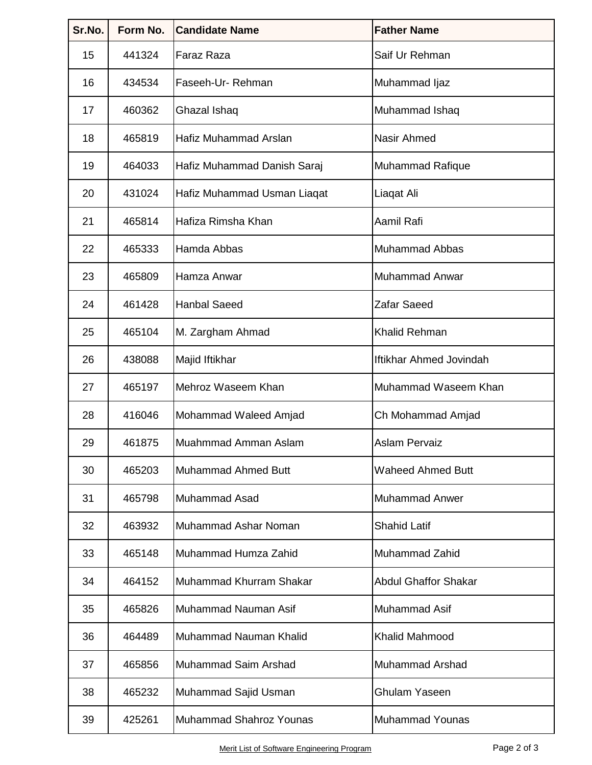| Sr.No. | Form No. | <b>Candidate Name</b>       | <b>Father Name</b>          |
|--------|----------|-----------------------------|-----------------------------|
| 15     | 441324   | <b>Faraz Raza</b>           | Saif Ur Rehman              |
| 16     | 434534   | Faseeh-Ur-Rehman            | Muhammad Ijaz               |
| 17     | 460362   | Ghazal Ishaq                | Muhammad Ishaq              |
| 18     | 465819   | Hafiz Muhammad Arslan       | Nasir Ahmed                 |
| 19     | 464033   | Hafiz Muhammad Danish Saraj | Muhammad Rafique            |
| 20     | 431024   | Hafiz Muhammad Usman Liaqat | Liaqat Ali                  |
| 21     | 465814   | Hafiza Rimsha Khan          | Aamil Rafi                  |
| 22     | 465333   | Hamda Abbas                 | <b>Muhammad Abbas</b>       |
| 23     | 465809   | Hamza Anwar                 | <b>Muhammad Anwar</b>       |
| 24     | 461428   | <b>Hanbal Saeed</b>         | <b>Zafar Saeed</b>          |
| 25     | 465104   | M. Zargham Ahmad            | <b>Khalid Rehman</b>        |
| 26     | 438088   | Majid Iftikhar              | Iftikhar Ahmed Jovindah     |
| 27     | 465197   | Mehroz Waseem Khan          | Muhammad Waseem Khan        |
| 28     | 416046   | Mohammad Waleed Amjad       | Ch Mohammad Amjad           |
| 29     | 461875   | Muahmmad Amman Aslam        | <b>Aslam Pervaiz</b>        |
| 30     | 465203   | <b>Muhammad Ahmed Butt</b>  | <b>Waheed Ahmed Butt</b>    |
| 31     | 465798   | <b>Muhammad Asad</b>        | <b>Muhammad Anwer</b>       |
| 32     | 463932   | Muhammad Ashar Noman        | <b>Shahid Latif</b>         |
| 33     | 465148   | Muhammad Humza Zahid        | Muhammad Zahid              |
| 34     | 464152   | Muhammad Khurram Shakar     | <b>Abdul Ghaffor Shakar</b> |
| 35     | 465826   | Muhammad Nauman Asif        | Muhammad Asif               |
| 36     | 464489   | Muhammad Nauman Khalid      | <b>Khalid Mahmood</b>       |
| 37     | 465856   | Muhammad Saim Arshad        | Muhammad Arshad             |
| 38     | 465232   | Muhammad Sajid Usman        | <b>Ghulam Yaseen</b>        |
| 39     | 425261   | Muhammad Shahroz Younas     | <b>Muhammad Younas</b>      |